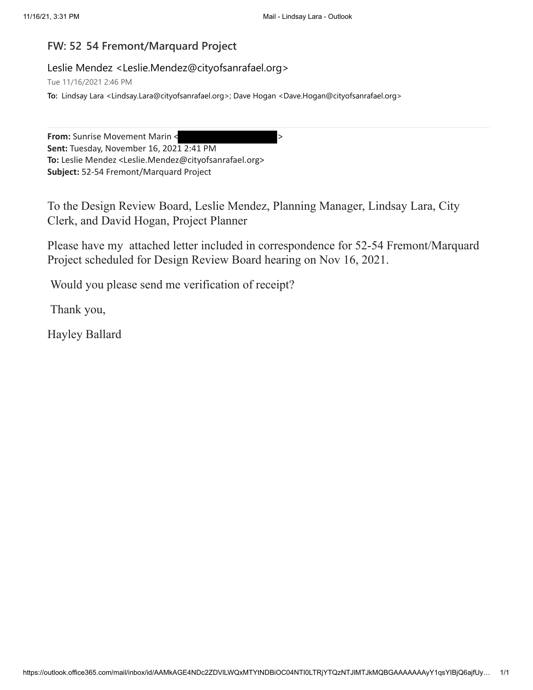## **FW: 52 54 Fremont/Marquard Project**

## Leslie Mendez <Leslie.Mendez@cityofsanrafael.org>

Tue 11/16/2021 2:46 PM

**To:** Lindsay Lara <Lindsay.Lara@cityofsanrafael.org>; Dave Hogan <Dave.Hogan@cityofsanrafael.org>

**From:** Sunrise Movement Marin < > **Sent:** Tuesday, November 16, 2021 2:41 PM **To:** Leslie Mendez <Leslie.Mendez@cityofsanrafael.org> **Subject:** 52-54 Fremont/Marquard Project

To the Design Review Board, Leslie Mendez, Planning Manager, Lindsay Lara, City Clerk, and David Hogan, Project Planner

Please have my attached letter included in correspondence for 52-54 Fremont/Marquard Project scheduled for Design Review Board hearing on Nov 16, 2021.

Would you please send me verification of receipt?

Thank you,

Hayley Ballard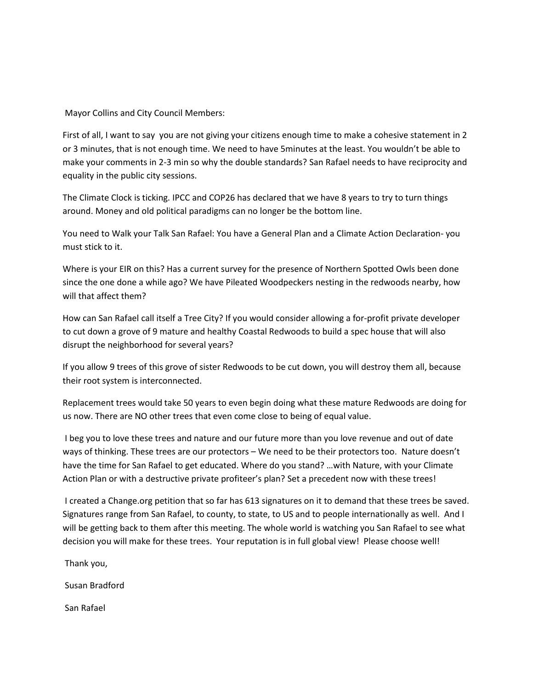Mayor Collins and City Council Members:

First of all, I want to say you are not giving your citizens enough time to make a cohesive statement in 2 or 3 minutes, that is not enough time. We need to have 5minutes at the least. You wouldn't be able to make your comments in 2-3 min so why the double standards? San Rafael needs to have reciprocity and equality in the public city sessions.

The Climate Clock is ticking. IPCC and COP26 has declared that we have 8 years to try to turn things around. Money and old political paradigms can no longer be the bottom line.

You need to Walk your Talk San Rafael: You have a General Plan and a Climate Action Declaration- you must stick to it.

Where is your EIR on this? Has a current survey for the presence of Northern Spotted Owls been done since the one done a while ago? We have Pileated Woodpeckers nesting in the redwoods nearby, how will that affect them?

How can San Rafael call itself a Tree City? If you would consider allowing a for-profit private developer to cut down a grove of 9 mature and healthy Coastal Redwoods to build a spec house that will also disrupt the neighborhood for several years?

If you allow 9 trees of this grove of sister Redwoods to be cut down, you will destroy them all, because their root system is interconnected.

Replacement trees would take 50 years to even begin doing what these mature Redwoods are doing for us now. There are NO other trees that even come close to being of equal value.

I beg you to love these trees and nature and our future more than you love revenue and out of date ways of thinking. These trees are our protectors – We need to be their protectors too. Nature doesn't have the time for San Rafael to get educated. Where do you stand? …with Nature, with your Climate Action Plan or with a destructive private profiteer's plan? Set a precedent now with these trees!

I created a Change.org petition that so far has 613 signatures on it to demand that these trees be saved. Signatures range from San Rafael, to county, to state, to US and to people internationally as well. And I will be getting back to them after this meeting. The whole world is watching you San Rafael to see what decision you will make for these trees. Your reputation is in full global view! Please choose well!

Thank you,

Susan Bradford

San Rafael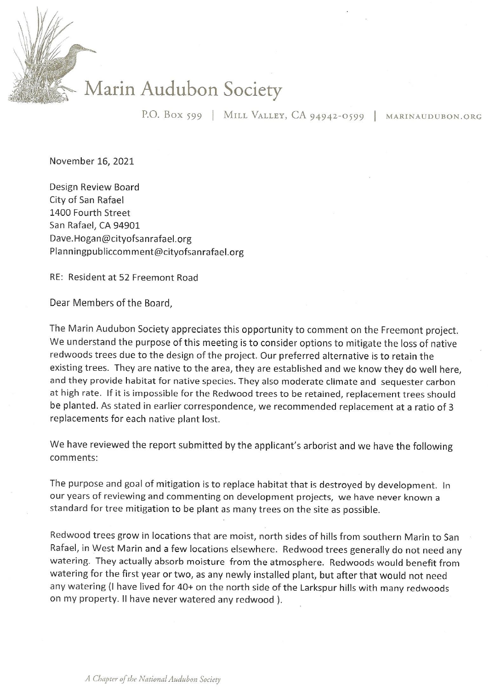## Marin Audubon Society

P.O. Box 599 | MILL VALLEY, CA 94942-0599 MARINAUDUBON.ORG

November 16, 2021

Design Review Board City of San Rafael 1400 Fourth Street San Rafael, CA 94901 Dave.Hogan@cityofsanrafael.org Planningpubliccomment@cityofsanrafael.org

RE: Resident at 52 Freemont Road

Dear Members of the Board,

The Marin Audubon Society appreciates this opportunity to comment on the Freemont project. We understand the purpose of this meeting is to consider options to mitigate the loss of native redwoods trees due to the design of the project. Our preferred alternative is to retain the existing trees. They are native to the area, they are established and we know they do well here. and they provide habitat for native species. They also moderate climate and sequester carbon at high rate. If it is impossible for the Redwood trees to be retained, replacement trees should be planted. As stated in earlier correspondence, we recommended replacement at a ratio of 3 replacements for each native plant lost.

We have reviewed the report submitted by the applicant's arborist and we have the following comments:

The purpose and goal of mitigation is to replace habitat that is destroyed by development. In our years of reviewing and commenting on development projects, we have never known a standard for tree mitigation to be plant as many trees on the site as possible.

Redwood trees grow in locations that are moist, north sides of hills from southern Marin to San Rafael, in West Marin and a few locations elsewhere. Redwood trees generally do not need any watering. They actually absorb moisture from the atmosphere. Redwoods would benefit from watering for the first year or two, as any newly installed plant, but after that would not need any watering (I have lived for 40+ on the north side of the Larkspur hills with many redwoods on my property. Il have never watered any redwood).